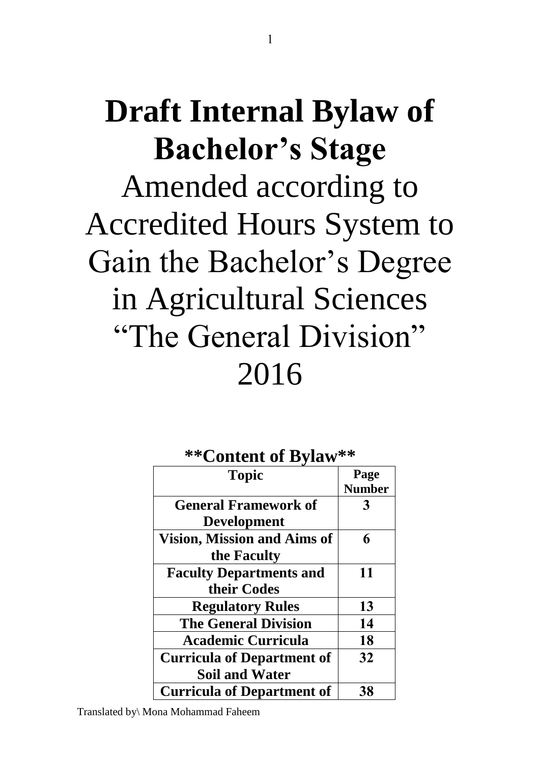# **Draft Internal Bylaw of Bachelor's Stage** Amended according to Accredited Hours System to Gain the Bachelor's Degree in Agricultural Sciences "The General Division" 2016

#### **\*\*Content of Bylaw\*\***

| <b>Topic</b>                       | Page          |
|------------------------------------|---------------|
|                                    | <b>Number</b> |
| <b>General Framework of</b>        |               |
| <b>Development</b>                 |               |
| <b>Vision, Mission and Aims of</b> | 6             |
| the Faculty                        |               |
| <b>Faculty Departments and</b>     | 11            |
| their Codes                        |               |
| <b>Regulatory Rules</b>            | 13            |
| <b>The General Division</b>        | 14            |
| <b>Academic Curricula</b>          | 18            |
| <b>Curricula of Department of</b>  | 32            |
| <b>Soil and Water</b>              |               |
| <b>Curricula of Department of</b>  | 38            |

Translated by\ Mona Mohammad Faheem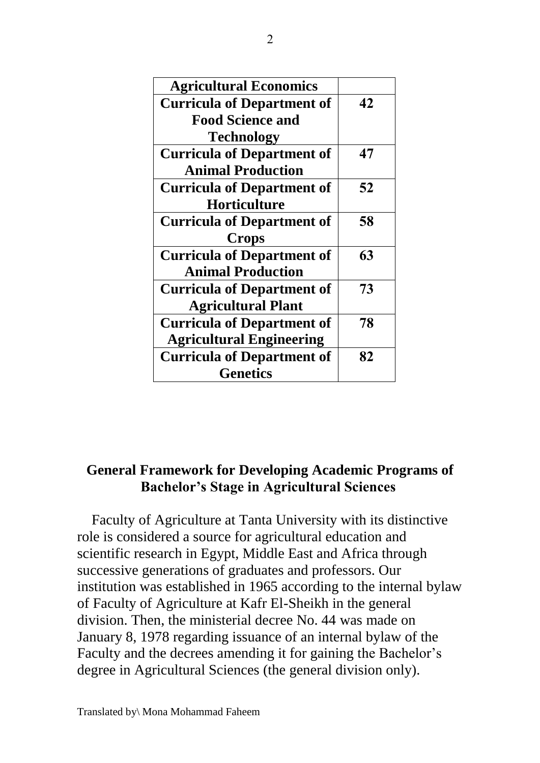| <b>Agricultural Economics</b>     |    |
|-----------------------------------|----|
| <b>Curricula of Department of</b> | 42 |
| <b>Food Science and</b>           |    |
| Technology                        |    |
| <b>Curricula of Department of</b> | 47 |
| <b>Animal Production</b>          |    |
| <b>Curricula of Department of</b> | 52 |
| Horticulture                      |    |
| <b>Curricula of Department of</b> | 58 |
| <b>Crops</b>                      |    |
| <b>Curricula of Department of</b> | 63 |
| <b>Animal Production</b>          |    |
| <b>Curricula of Department of</b> | 73 |
| <b>Agricultural Plant</b>         |    |
| <b>Curricula of Department of</b> | 78 |
| <b>Agricultural Engineering</b>   |    |
| <b>Curricula of Department of</b> | 82 |
| <b>Genetics</b>                   |    |

#### **General Framework for Developing Academic Programs of Bachelor's Stage in Agricultural Sciences**

Faculty of Agriculture at Tanta University with its distinctive role is considered a source for agricultural education and scientific research in Egypt, Middle East and Africa through successive generations of graduates and professors. Our institution was established in 1965 according to the internal bylaw of Faculty of Agriculture at Kafr El-Sheikh in the general division. Then, the ministerial decree No. 44 was made on January 8, 1978 regarding issuance of an internal bylaw of the Faculty and the decrees amending it for gaining the Bachelor's degree in Agricultural Sciences (the general division only).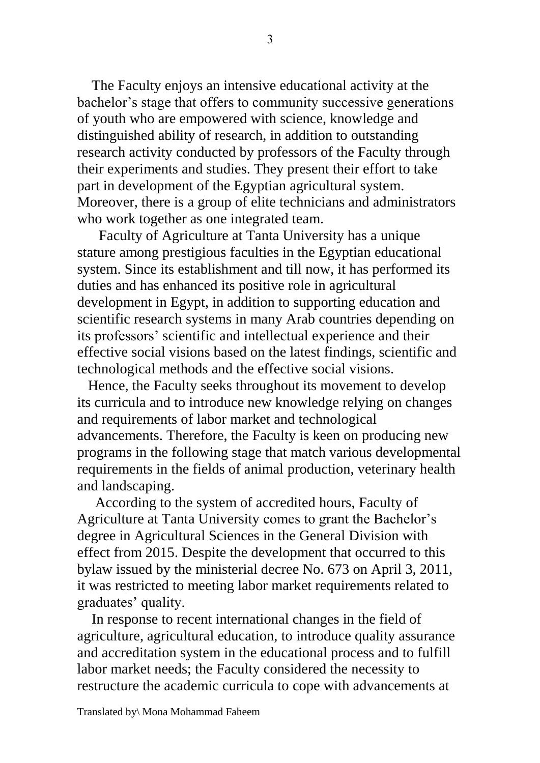The Faculty enjoys an intensive educational activity at the bachelor's stage that offers to community successive generations of youth who are empowered with science, knowledge and distinguished ability of research, in addition to outstanding research activity conducted by professors of the Faculty through their experiments and studies. They present their effort to take part in development of the Egyptian agricultural system. Moreover, there is a group of elite technicians and administrators who work together as one integrated team.

 Faculty of Agriculture at Tanta University has a unique stature among prestigious faculties in the Egyptian educational system. Since its establishment and till now, it has performed its duties and has enhanced its positive role in agricultural development in Egypt, in addition to supporting education and scientific research systems in many Arab countries depending on its professors' scientific and intellectual experience and their effective social visions based on the latest findings, scientific and technological methods and the effective social visions.

 Hence, the Faculty seeks throughout its movement to develop its curricula and to introduce new knowledge relying on changes and requirements of labor market and technological advancements. Therefore, the Faculty is keen on producing new programs in the following stage that match various developmental requirements in the fields of animal production, veterinary health and landscaping.

 According to the system of accredited hours, Faculty of Agriculture at Tanta University comes to grant the Bachelor's degree in Agricultural Sciences in the General Division with effect from 2015. Despite the development that occurred to this bylaw issued by the ministerial decree No. 673 on April 3, 2011, it was restricted to meeting labor market requirements related to graduates' quality.

 In response to recent international changes in the field of agriculture, agricultural education, to introduce quality assurance and accreditation system in the educational process and to fulfill labor market needs; the Faculty considered the necessity to restructure the academic curricula to cope with advancements at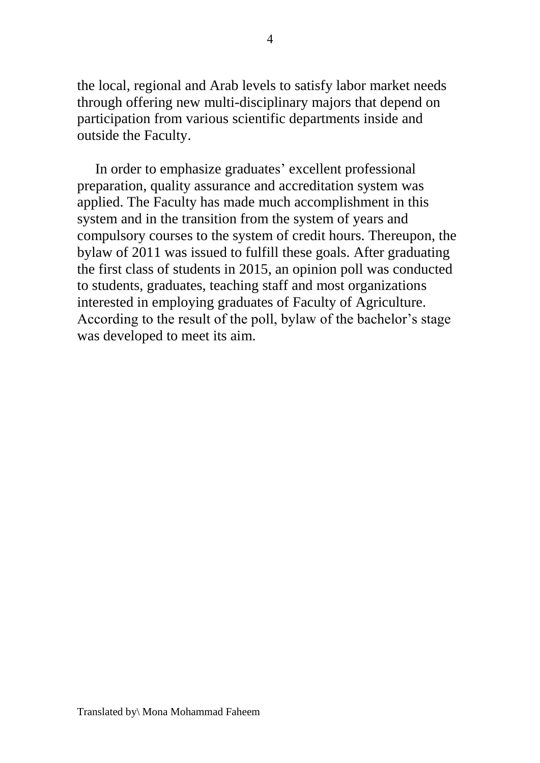the local, regional and Arab levels to satisfy labor market needs through offering new multi-disciplinary majors that depend on participation from various scientific departments inside and outside the Faculty.

 In order to emphasize graduates' excellent professional preparation, quality assurance and accreditation system was applied. The Faculty has made much accomplishment in this system and in the transition from the system of years and compulsory courses to the system of credit hours. Thereupon, the bylaw of 2011 was issued to fulfill these goals. After graduating the first class of students in 2015, an opinion poll was conducted to students, graduates, teaching staff and most organizations interested in employing graduates of Faculty of Agriculture. According to the result of the poll, bylaw of the bachelor's stage was developed to meet its aim.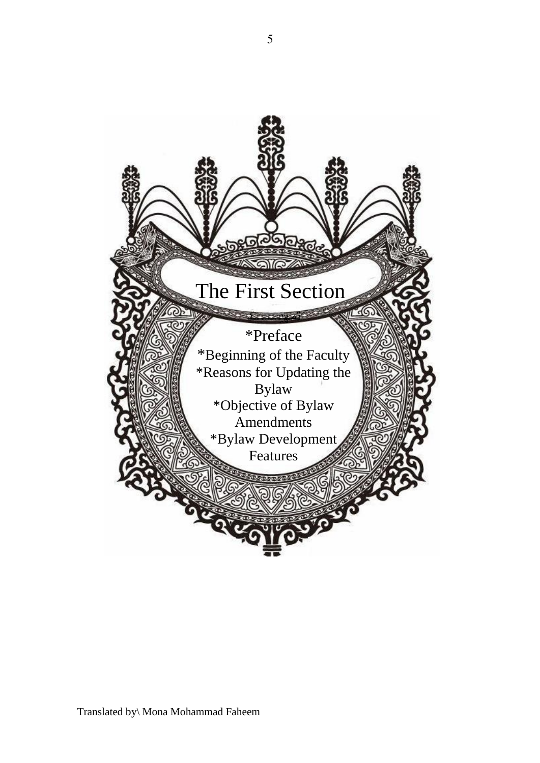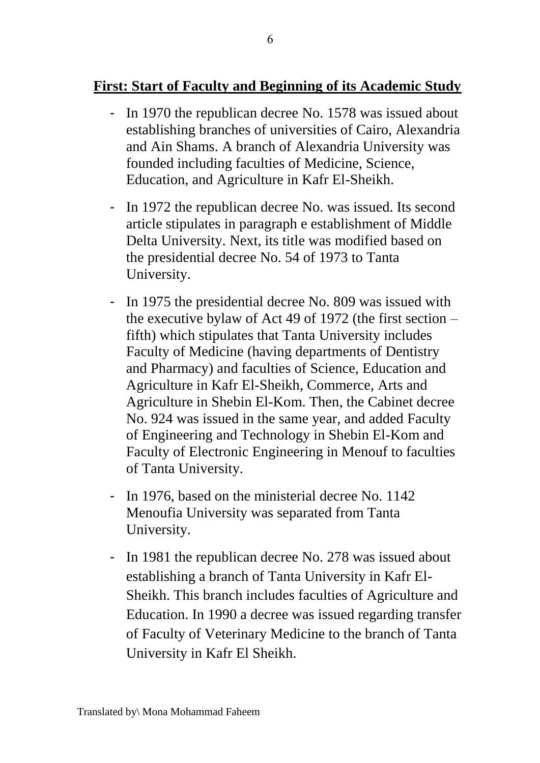#### **First: Start of Faculty and Beginning of its Academic Study**

- In 1970 the republican decree No. 1578 was issued about establishing branches of universities of Cairo, Alexandria and Ain Shams. A branch of Alexandria University was founded including faculties of Medicine, Science, Education, and Agriculture in Kafr El-Sheikh.
- In 1972 the republican decree No. was issued. Its second article stipulates in paragraph e establishment of Middle Delta University. Next, its title was modified based on the presidential decree No. 54 of 1973 to Tanta University.
- In 1975 the presidential decree No. 809 was issued with the executive bylaw of Act 49 of 1972 (the first section – fifth) which stipulates that Tanta University includes Faculty of Medicine (having departments of Dentistry and Pharmacy) and faculties of Science, Education and Agriculture in Kafr El-Sheikh, Commerce, Arts and Agriculture in Shebin El-Kom. Then, the Cabinet decree No. 924 was issued in the same year, and added Faculty of Engineering and Technology in Shebin El-Kom and Faculty of Electronic Engineering in Menouf to faculties of Tanta University.
- In 1976, based on the ministerial decree No. 1142 Menoufia University was separated from Tanta University.
- In 1981 the republican decree No. 278 was issued about establishing a branch of Tanta University in Kafr El-Sheikh. This branch includes faculties of Agriculture and Education. In 1990 a decree was issued regarding transfer of Faculty of Veterinary Medicine to the branch of Tanta University in Kafr El Sheikh.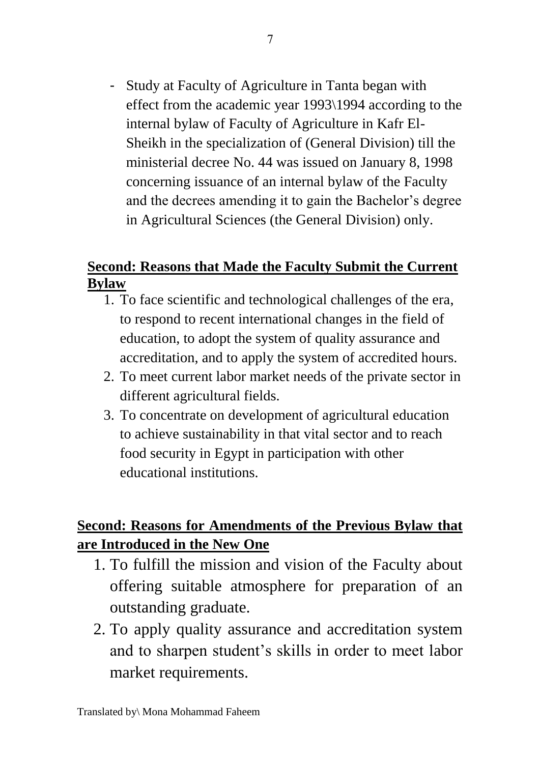- Study at Faculty of Agriculture in Tanta began with effect from the academic year 1993\1994 according to the internal bylaw of Faculty of Agriculture in Kafr El-Sheikh in the specialization of (General Division) till the ministerial decree No. 44 was issued on January 8, 1998 concerning issuance of an internal bylaw of the Faculty and the decrees amending it to gain the Bachelor's degree in Agricultural Sciences (the General Division) only.

#### **Second: Reasons that Made the Faculty Submit the Current Bylaw**

- 1. To face scientific and technological challenges of the era, to respond to recent international changes in the field of education, to adopt the system of quality assurance and accreditation, and to apply the system of accredited hours.
- 2. To meet current labor market needs of the private sector in different agricultural fields.
- 3. To concentrate on development of agricultural education to achieve sustainability in that vital sector and to reach food security in Egypt in participation with other educational institutions.

## **Second: Reasons for Amendments of the Previous Bylaw that are Introduced in the New One**

- 1. To fulfill the mission and vision of the Faculty about offering suitable atmosphere for preparation of an outstanding graduate.
- 2. To apply quality assurance and accreditation system and to sharpen student's skills in order to meet labor market requirements.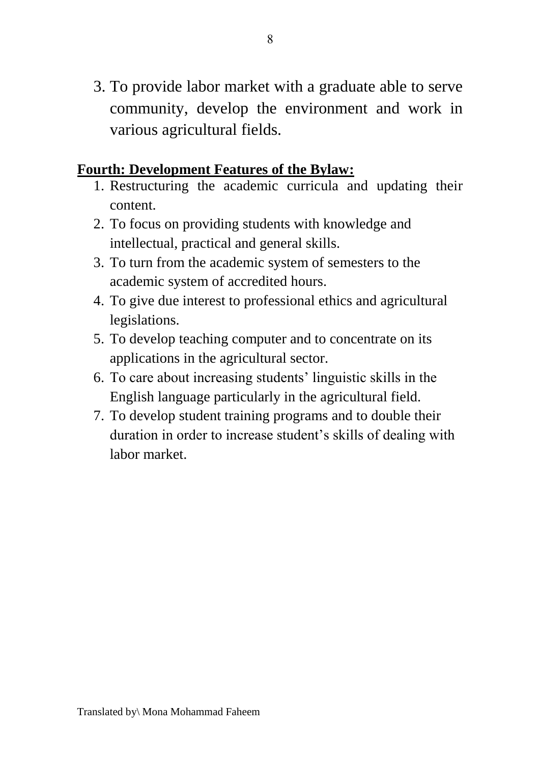3. To provide labor market with a graduate able to serve community, develop the environment and work in various agricultural fields.

#### **Fourth: Development Features of the Bylaw:**

- 1. Restructuring the academic curricula and updating their content.
- 2. To focus on providing students with knowledge and intellectual, practical and general skills.
- 3. To turn from the academic system of semesters to the academic system of accredited hours.
- 4. To give due interest to professional ethics and agricultural legislations.
- 5. To develop teaching computer and to concentrate on its applications in the agricultural sector.
- 6. To care about increasing students' linguistic skills in the English language particularly in the agricultural field.
- 7. To develop student training programs and to double their duration in order to increase student's skills of dealing with labor market.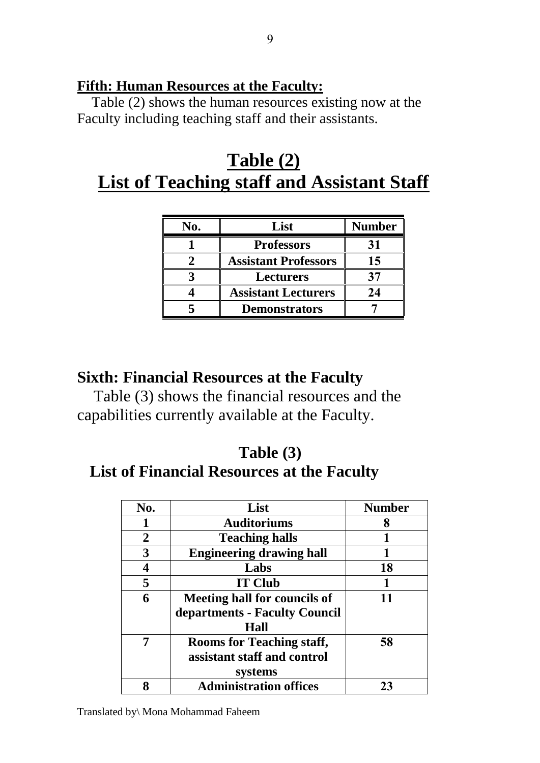#### **Fifth: Human Resources at the Faculty:**

Table (2) shows the human resources existing now at the Faculty including teaching staff and their assistants.

# **Table (2) List of Teaching staff and Assistant Staff**

| No. | List                        | <b>Number</b> |
|-----|-----------------------------|---------------|
|     | <b>Professors</b>           | 31            |
|     | <b>Assistant Professors</b> | 15            |
|     | <b>Lecturers</b>            |               |
|     | <b>Assistant Lecturers</b>  | 24            |
|     | <b>Demonstrators</b>        |               |

#### **Sixth: Financial Resources at the Faculty**

 Table (3) shows the financial resources and the capabilities currently available at the Faculty.

## **Table (3)**

#### **List of Financial Resources at the Faculty**

| No.            | List                                | <b>Number</b> |
|----------------|-------------------------------------|---------------|
|                | <b>Auditoriums</b>                  | 8             |
| $\overline{2}$ | <b>Teaching halls</b>               |               |
| 3              | <b>Engineering drawing hall</b>     |               |
| 4              | Labs                                | 18            |
| 5              | <b>IT Club</b>                      |               |
| 6              | <b>Meeting hall for councils of</b> |               |
|                | departments - Faculty Council       |               |
|                | Hall                                |               |
| 7              | <b>Rooms for Teaching staff,</b>    | 58            |
|                | assistant staff and control         |               |
|                | systems                             |               |
| 8              | <b>Administration offices</b>       | 23            |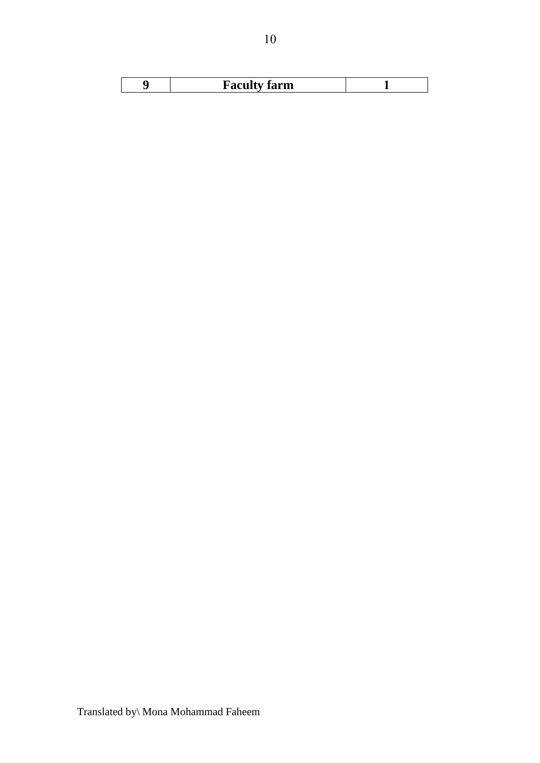| Faculty farm |  |
|--------------|--|
|              |  |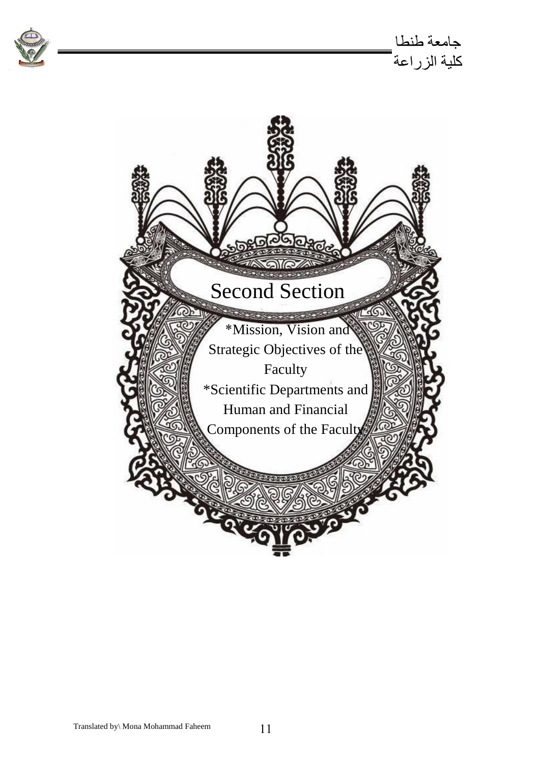

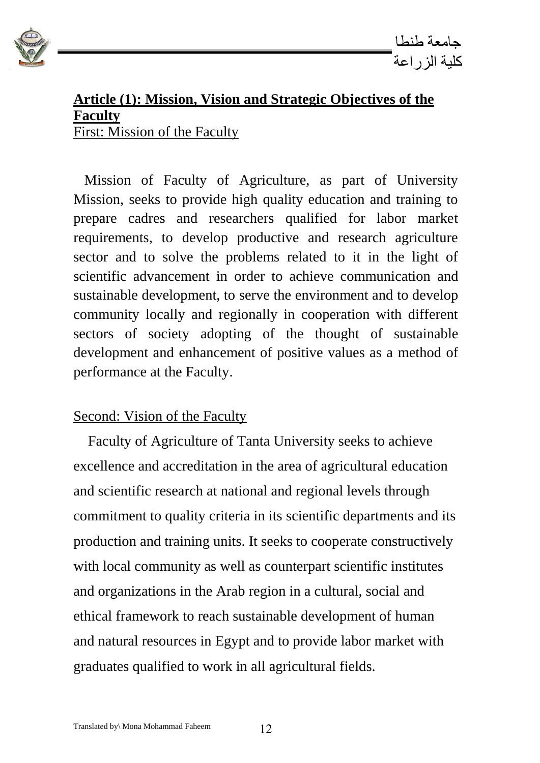

#### **Article (1): Mission, Vision and Strategic Objectives of the Faculty**  First: Mission of the Faculty

 Mission of Faculty of Agriculture, as part of University Mission, seeks to provide high quality education and training to prepare cadres and researchers qualified for labor market requirements, to develop productive and research agriculture sector and to solve the problems related to it in the light of scientific advancement in order to achieve communication and sustainable development, to serve the environment and to develop community locally and regionally in cooperation with different sectors of society adopting of the thought of sustainable development and enhancement of positive values as a method of performance at the Faculty.

#### Second: Vision of the Faculty

 Faculty of Agriculture of Tanta University seeks to achieve excellence and accreditation in the area of agricultural education and scientific research at national and regional levels through commitment to quality criteria in its scientific departments and its production and training units. It seeks to cooperate constructively with local community as well as counterpart scientific institutes and organizations in the Arab region in a cultural, social and ethical framework to reach sustainable development of human and natural resources in Egypt and to provide labor market with graduates qualified to work in all agricultural fields.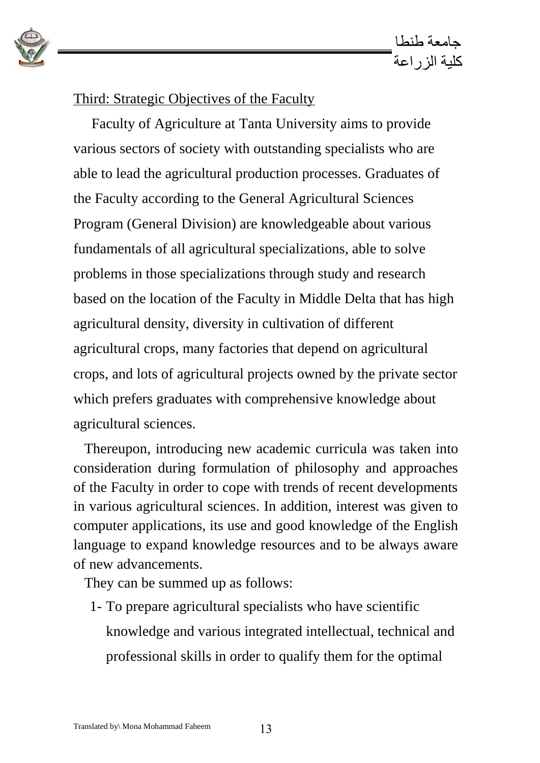

#### Third: Strategic Objectives of the Faculty

 Faculty of Agriculture at Tanta University aims to provide various sectors of society with outstanding specialists who are able to lead the agricultural production processes. Graduates of the Faculty according to the General Agricultural Sciences Program (General Division) are knowledgeable about various fundamentals of all agricultural specializations, able to solve problems in those specializations through study and research based on the location of the Faculty in Middle Delta that has high agricultural density, diversity in cultivation of different agricultural crops, many factories that depend on agricultural crops, and lots of agricultural projects owned by the private sector which prefers graduates with comprehensive knowledge about agricultural sciences.

 Thereupon, introducing new academic curricula was taken into consideration during formulation of philosophy and approaches of the Faculty in order to cope with trends of recent developments in various agricultural sciences. In addition, interest was given to computer applications, its use and good knowledge of the English language to expand knowledge resources and to be always aware of new advancements.

They can be summed up as follows:

1- To prepare agricultural specialists who have scientific knowledge and various integrated intellectual, technical and professional skills in order to qualify them for the optimal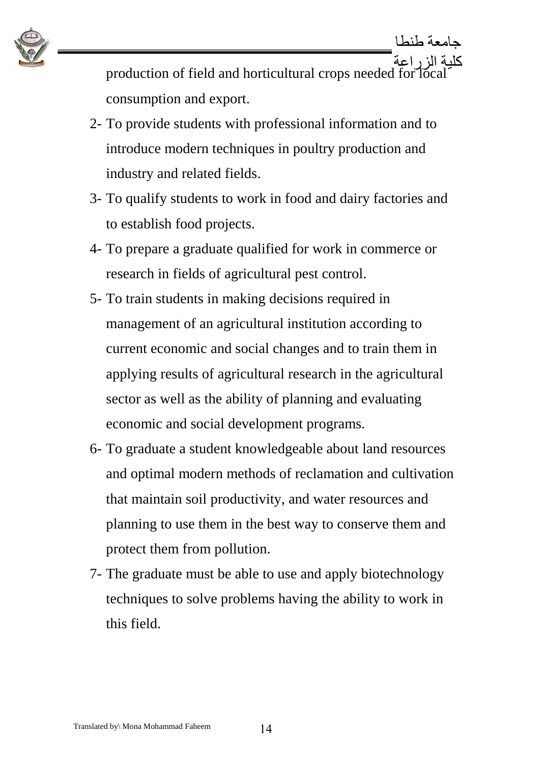

كلية الزراعة production of field and horticultural crops needed for local consumption and export.

- 2- To provide students with professional information and to introduce modern techniques in poultry production and industry and related fields.
- 3- To qualify students to work in food and dairy factories and to establish food projects.
- 4- To prepare a graduate qualified for work in commerce or research in fields of agricultural pest control.
- 5- To train students in making decisions required in management of an agricultural institution according to current economic and social changes and to train them in applying results of agricultural research in the agricultural sector as well as the ability of planning and evaluating economic and social development programs.
- 6- To graduate a student knowledgeable about land resources and optimal modern methods of reclamation and cultivation that maintain soil productivity, and water resources and planning to use them in the best way to conserve them and protect them from pollution.
- 7- The graduate must be able to use and apply biotechnology techniques to solve problems having the ability to work in this field.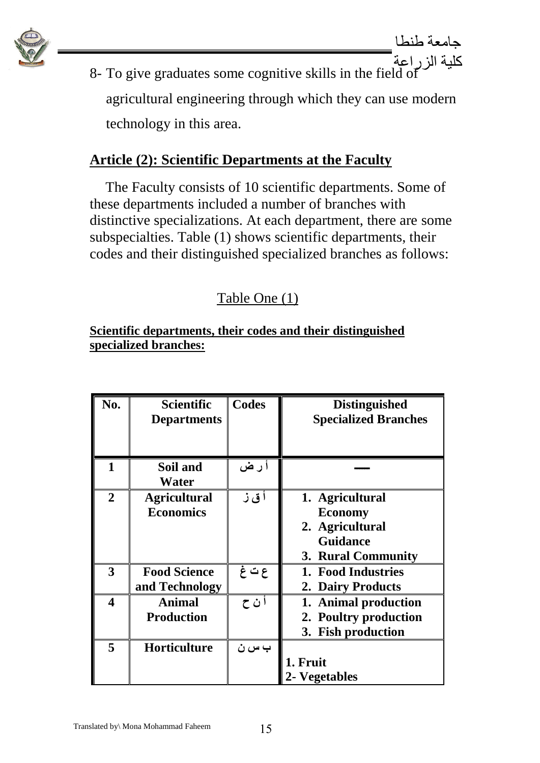

8- To give graduates some cognitive skills in the field of agricultural engineering through which they can use modern technology in this area.

## **Article (2): Scientific Departments at the Faculty**

The Faculty consists of 10 scientific departments. Some of these departments included a number of branches with distinctive specializations. At each department, there are some subspecialties. Table (1) shows scientific departments, their codes and their distinguished specialized branches as follows:

## Table One (1)

#### **Scientific departments, their codes and their distinguished specialized branches:**

| No.                     | <b>Scientific</b><br><b>Departments</b> | Codes  | <b>Distinguished</b><br><b>Specialized Branches</b>                                           |
|-------------------------|-----------------------------------------|--------|-----------------------------------------------------------------------------------------------|
| 1                       | Soil and<br>Water                       | اً ر ض |                                                                                               |
| $\overline{2}$          | <b>Agricultural</b><br><b>Economics</b> | أق ز   | 1. Agricultural<br><b>Economy</b><br>2. Agricultural<br><b>Guidance</b><br>3. Rural Community |
| 3                       | <b>Food Science</b><br>and Technology   | ع ت غ  | 1. Food Industries<br>2. Dairy Products                                                       |
| $\overline{\mathbf{4}}$ | <b>Animal</b><br><b>Production</b>      | أ ن ح  | 1. Animal production<br>2. Poultry production<br>3. Fish production                           |
| 5                       | <b>Horticulture</b>                     | ب س ن  | 1. Fruit<br>2- Vegetables                                                                     |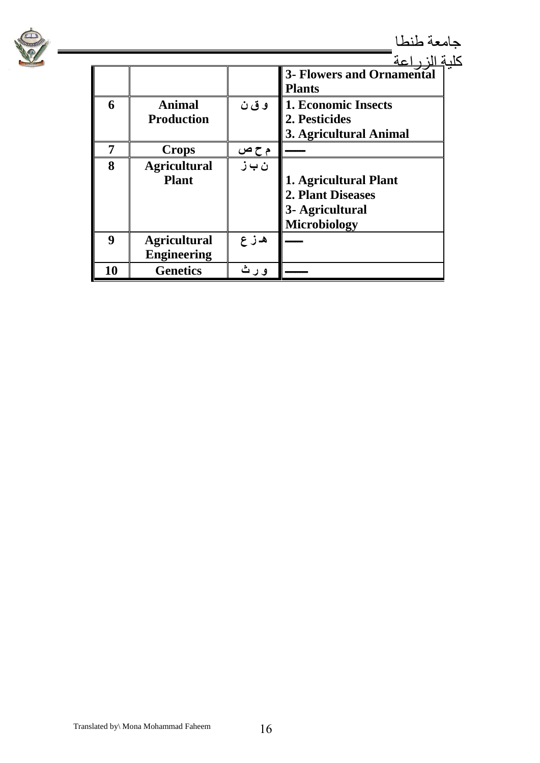

## جامعة طنطا

|    |                                           |       |                                                                                      | کا، مَ |
|----|-------------------------------------------|-------|--------------------------------------------------------------------------------------|--------|
|    |                                           |       | <b>3- Flowers and Ornamental</b><br><b>Plants</b>                                    |        |
| 6  | <b>Animal</b><br><b>Production</b>        | وق ن  | <b>1. Economic Insects</b><br>2. Pesticides<br>3. Agricultural Animal                |        |
|    | <b>Crops</b>                              | م ح ص |                                                                                      |        |
| 8  | <b>Agricultural</b><br><b>Plant</b>       | ن ب ز | 1. Agricultural Plant<br>2. Plant Diseases<br>3- Agricultural<br><b>Microbiology</b> |        |
| Q  | <b>Agricultural</b><br><b>Engineering</b> | ه ز ع |                                                                                      |        |
| 10 | <b>Genetics</b>                           | و ر ث |                                                                                      |        |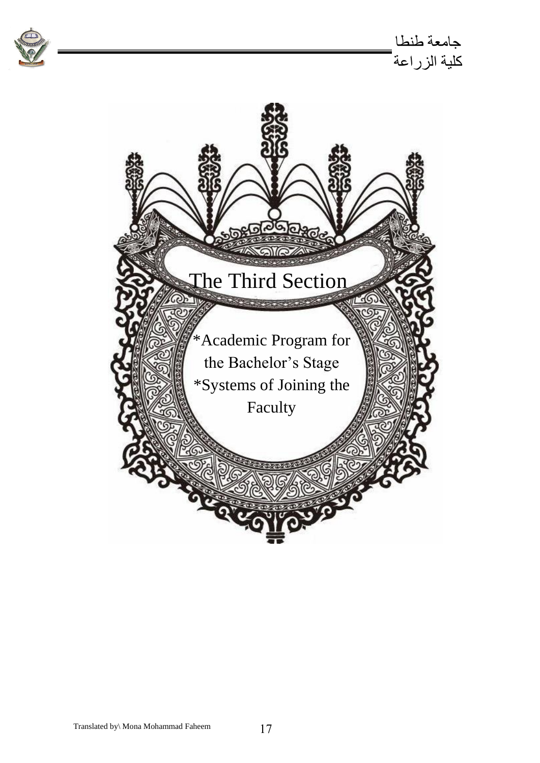

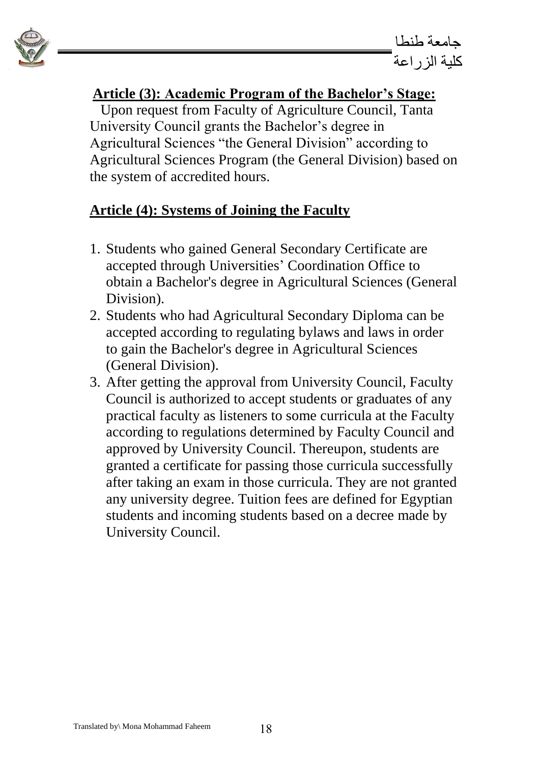

## **Article (3): Academic Program of the Bachelor's Stage:**

 Upon request from Faculty of Agriculture Council, Tanta University Council grants the Bachelor's degree in Agricultural Sciences "the General Division" according to Agricultural Sciences Program (the General Division) based on the system of accredited hours.

## **Article (4): Systems of Joining the Faculty**

- 1. Students who gained General Secondary Certificate are accepted through Universities' Coordination Office to obtain a Bachelor's degree in Agricultural Sciences (General Division).
- 2. Students who had Agricultural Secondary Diploma can be accepted according to regulating bylaws and laws in order to gain the Bachelor's degree in Agricultural Sciences (General Division).
- 3. After getting the approval from University Council, Faculty Council is authorized to accept students or graduates of any practical faculty as listeners to some curricula at the Faculty according to regulations determined by Faculty Council and approved by University Council. Thereupon, students are granted a certificate for passing those curricula successfully after taking an exam in those curricula. They are not granted any university degree. Tuition fees are defined for Egyptian students and incoming students based on a decree made by University Council.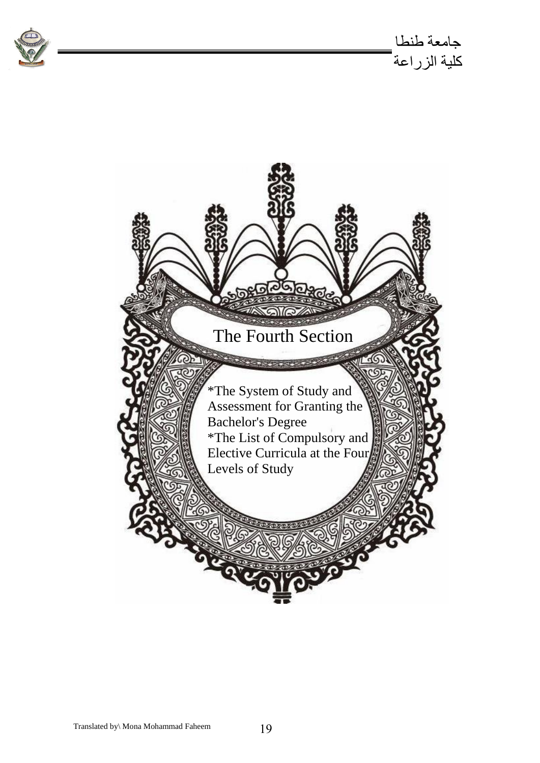

جامعة طنطا كلية الزراعة

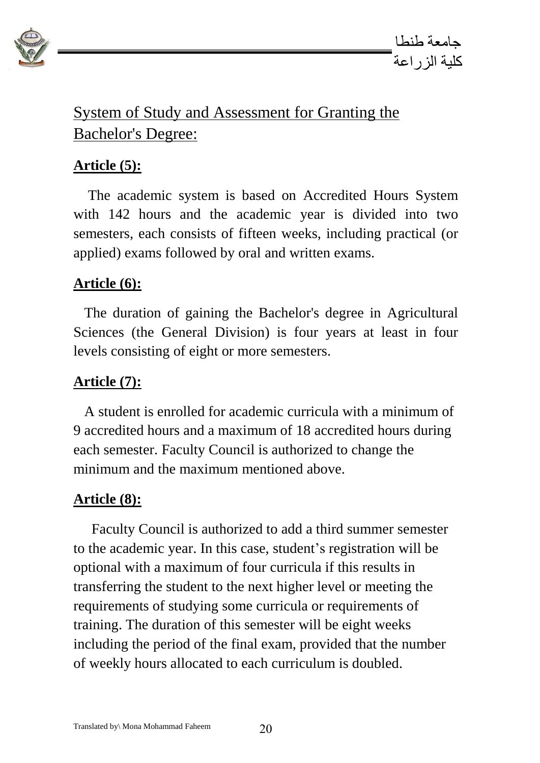

## System of Study and Assessment for Granting the Bachelor's Degree:

## **Article (5):**

 The academic system is based on Accredited Hours System with 142 hours and the academic year is divided into two semesters, each consists of fifteen weeks, including practical (or applied) exams followed by oral and written exams.

## **Article (6):**

 The duration of gaining the Bachelor's degree in Agricultural Sciences (the General Division) is four years at least in four levels consisting of eight or more semesters.

#### **Article (7):**

 A student is enrolled for academic curricula with a minimum of 9 accredited hours and a maximum of 18 accredited hours during each semester. Faculty Council is authorized to change the minimum and the maximum mentioned above.

#### **Article (8):**

 Faculty Council is authorized to add a third summer semester to the academic year. In this case, student's registration will be optional with a maximum of four curricula if this results in transferring the student to the next higher level or meeting the requirements of studying some curricula or requirements of training. The duration of this semester will be eight weeks including the period of the final exam, provided that the number of weekly hours allocated to each curriculum is doubled.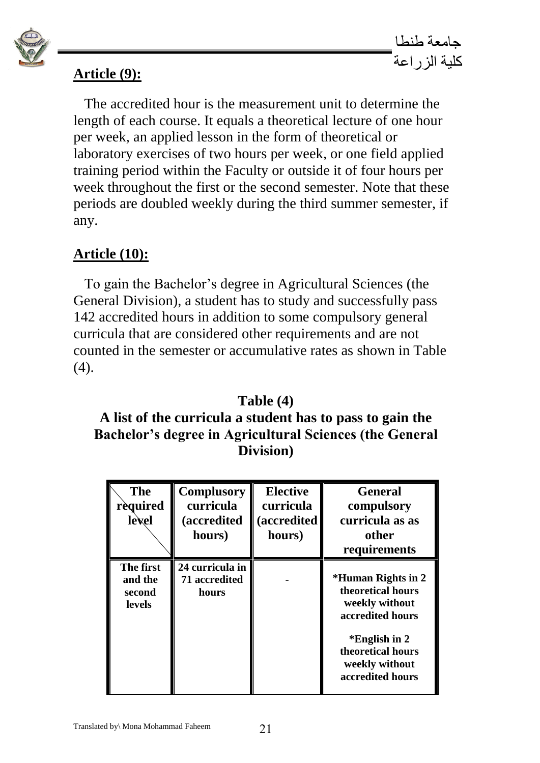

#### **Article (9):**

 The accredited hour is the measurement unit to determine the length of each course. It equals a theoretical lecture of one hour per week, an applied lesson in the form of theoretical or laboratory exercises of two hours per week, or one field applied training period within the Faculty or outside it of four hours per week throughout the first or the second semester. Note that these periods are doubled weekly during the third summer semester, if any.

#### **Article (10):**

To gain the Bachelor's degree in Agricultural Sciences (the General Division), a student has to study and successfully pass 142 accredited hours in addition to some compulsory general curricula that are considered other requirements and are not counted in the semester or accumulative rates as shown in Table (4).

#### **Table (4)**

#### **A list of the curricula a student has to pass to gain the Bachelor's degree in Agricultural Sciences (the General Division)**

| <b>The</b><br>rèquired<br>lexel                 | <b>Complusory</b><br>curricula<br><i>(accredited)</i><br>hours) | <b>Elective</b><br>curricula<br>(accredited<br>hours) | <b>General</b><br>compulsory<br>curricula as as<br>other<br>requirements                                                                                  |
|-------------------------------------------------|-----------------------------------------------------------------|-------------------------------------------------------|-----------------------------------------------------------------------------------------------------------------------------------------------------------|
| The first<br>and the<br>second<br><b>levels</b> | 24 curricula in<br>71 accredited<br>hours                       |                                                       | *Human Rights in 2<br>theoretical hours<br>weekly without<br>accredited hours<br>*English in 2<br>theoretical hours<br>weekly without<br>accredited hours |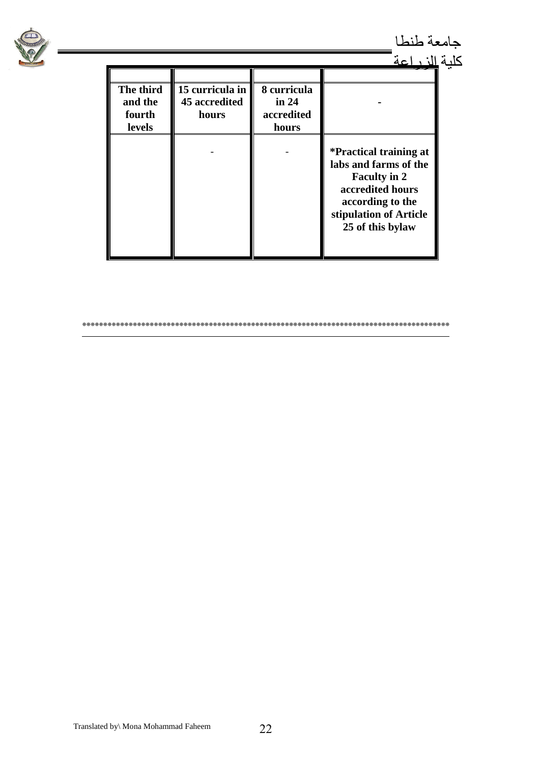

جامعة طنطا

| The third<br>and the<br>fourth<br>levels | 15 curricula in<br>45 accredited<br>hours | 8 curricula<br>in $24$<br>accredited<br>hours |                                                                                                                                                                     |  |
|------------------------------------------|-------------------------------------------|-----------------------------------------------|---------------------------------------------------------------------------------------------------------------------------------------------------------------------|--|
|                                          |                                           |                                               | <i>*Practical training at</i><br>labs and farms of the<br><b>Faculty in 2</b><br>accredited hours<br>according to the<br>stipulation of Article<br>25 of this bylaw |  |

**\*\*\*\*\*\*\*\*\*\*\*\*\*\*\*\*\*\*\*\*\*\*\*\*\*\*\*\*\*\*\*\*\*\*\*\*\*\*\*\*\*\*\*\*\*\*\*\*\*\*\*\*\*\*\*\*\*\*\*\*\*\*\*\*\*\*\*\*\*\*\*\*\*\*\*\*\*\*\*\*\*\*\*\*\*\*\***